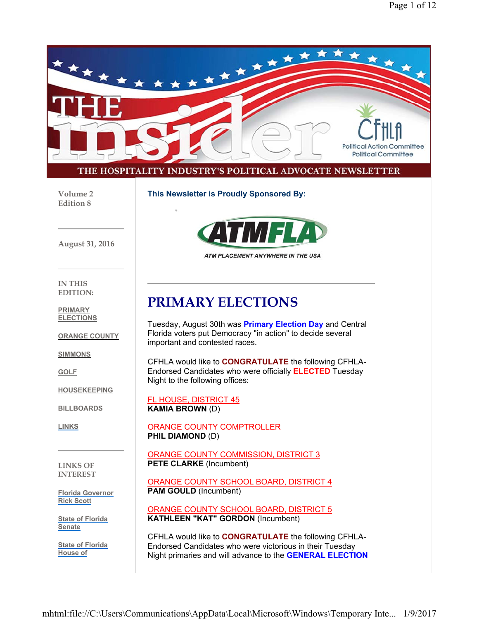

#### THE HOSPITALITY INDUSTRY'S POLITICAL ADVOCATE NEWSLETTER

**Volume 2 Edition 8**

**This Newsletter is Proudly Sponsored By:**





ATM PLACEMENT ANYWHERE IN THE USA

**IN THIS EDITION:**

**PRIMARY ELECTIONS**

**ORANGE COUNTY**

**SIMMONS**

**GOLF**

**HOUSEKEEPING**

**BILLBOARDS**

**LINKS**

**LINKS OF INTEREST**

**Florida Governor Rick Scott**

**State of Florida Senate**

**State of Florida House of**

## **PRIMARY ELECTIONS**

Tuesday, August 30th was **Primary Election Day** and Central Florida voters put Democracy "in action" to decide several important and contested races.

CFHLA would like to **CONGRATULATE** the following CFHLA-Endorsed Candidates who were officially **ELECTED** Tuesday Night to the following offices:

FL HOUSE, DISTRICT 45 **KAMIA BROWN** (D)

ORANGE COUNTY COMPTROLLER **PHIL DIAMOND** (D)

ORANGE COUNTY COMMISSION, DISTRICT 3 **PETE CLARKE** (Incumbent)

ORANGE COUNTY SCHOOL BOARD, DISTRICT 4 **PAM GOULD** (Incumbent)

ORANGE COUNTY SCHOOL BOARD, DISTRICT 5 **KATHLEEN "KAT" GORDON** (Incumbent)

CFHLA would like to **CONGRATULATE** the following CFHLA-Endorsed Candidates who were victorious in their Tuesday Night primaries and will advance to the **GENERAL ELECTION**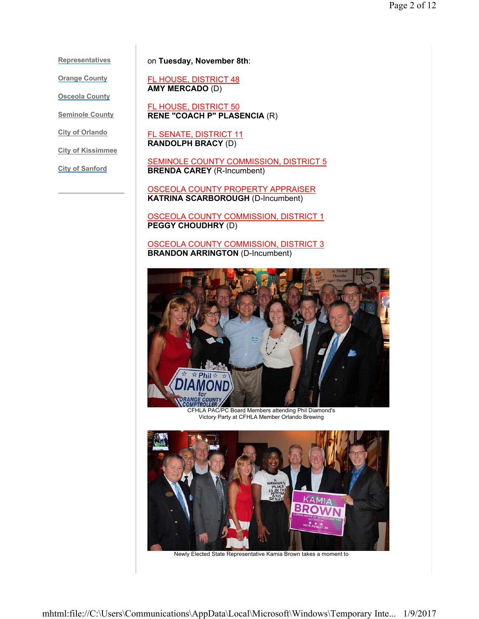**Representatives**

**Orange County**

**Osceola County**

**Seminole County**

**City of Orlando**

**City of Kissimmee**

**City of Sanford**

on **Tuesday, November 8th**:

FL HOUSE, DISTRICT 48 **AMY MERCADO** (D)

FL HOUSE, DISTRICT 50 **RENE "COACH P" PLASENCIA** (R)

FL SENATE, DISTRICT 11 **RANDOLPH BRACY** (D)

SEMINOLE COUNTY COMMISSION, DISTRICT 5 **BRENDA CAREY** (R-Incumbent)

OSCEOLA COUNTY PROPERTY APPRAISER **KATRINA SCARBOROUGH** (D-Incumbent)

OSCEOLA COUNTY COMMISSION, DISTRICT 1 **PEGGY CHOUDHRY** (D)

OSCEOLA COUNTY COMMISSION, DISTRICT 3 **BRANDON ARRINGTON** (D-Incumbent)



CFHLA PAC/PC Board Members attending Phil Diamond's Victory Party at CFHLA Member Orlando Brewing



Newly Elected State Representative Kamia Brown takes a moment to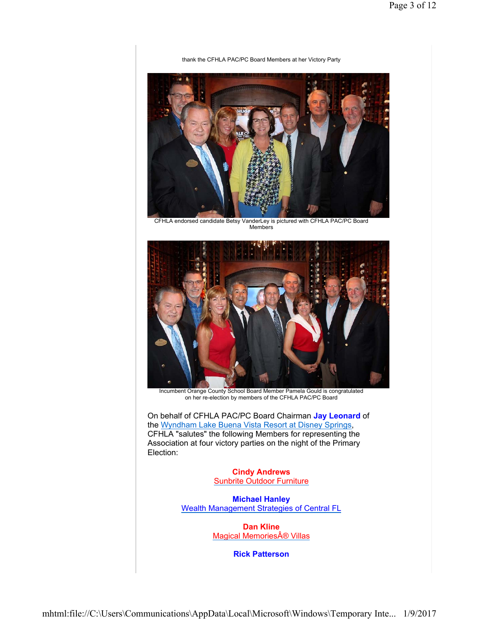#### thank the CFHLA PAC/PC Board Members at her Victory Party



CFHLA endorsed candidate Betsy VanderLey is pictured with CFHLA PAC/PC Board Members



Incumbent Orange County School Board Member Pamela Gould is congratulated on her re-election by members of the CFHLA PAC/PC Board

On behalf of CFHLA PAC/PC Board Chairman **Jay Leonard** of the Wyndham Lake Buena Vista Resort at Disney Springs, CFHLA "salutes" the following Members for representing the Association at four victory parties on the night of the Primary Election:

> **Cindy Andrews** Sunbrite Outdoor Furniture

**Michael Hanley** Wealth Management Strategies of Central FL

> **Dan Kline** Magical Memories® Villas

> > **Rick Patterson**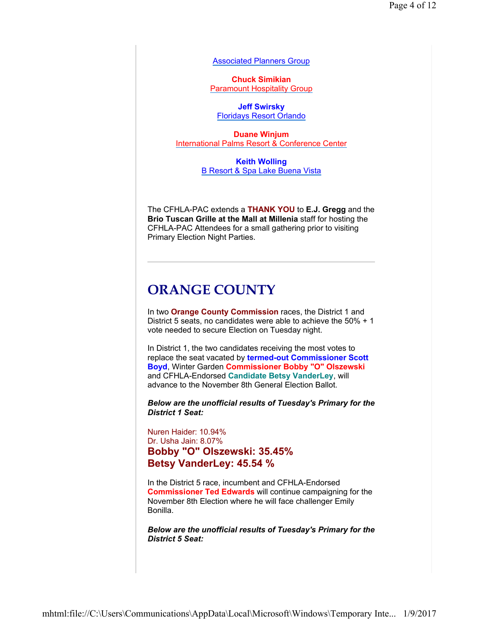Associated Planners Group

**Chuck Simikian** Paramount Hospitality Group

**Jeff Swirsky** Floridays Resort Orlando

**Duane Winjum** International Palms Resort & Conference Center

> **Keith Wolling** B Resort & Spa Lake Buena Vista

The CFHLA-PAC extends a **THANK YOU** to **E.J. Gregg** and the **Brio Tuscan Grille at the Mall at Millenia** staff for hosting the CFHLA-PAC Attendees for a small gathering prior to visiting Primary Election Night Parties.

## **ORANGE COUNTY**

In two **Orange County Commission** races, the District 1 and District 5 seats, no candidates were able to achieve the 50% + 1 vote needed to secure Election on Tuesday night.

In District 1, the two candidates receiving the most votes to replace the seat vacated by **termed-out Commissioner Scott Boyd**, Winter Garden **Commissioner Bobby "O" Olszewski** and CFHLA-Endorsed **Candidate Betsy VanderLey**, will advance to the November 8th General Election Ballot.

*Below are the unofficial results of Tuesday's Primary for the District 1 Seat:*

Nuren Haider: 10.94% Dr. Usha Jain: 8.07% **Bobby "O" Olszewski: 35.45% Betsy VanderLey: 45.54 %**

In the District 5 race, incumbent and CFHLA-Endorsed **Commissioner Ted Edwards** will continue campaigning for the November 8th Election where he will face challenger Emily Bonilla.

*Below are the unofficial results of Tuesday's Primary for the District 5 Seat:*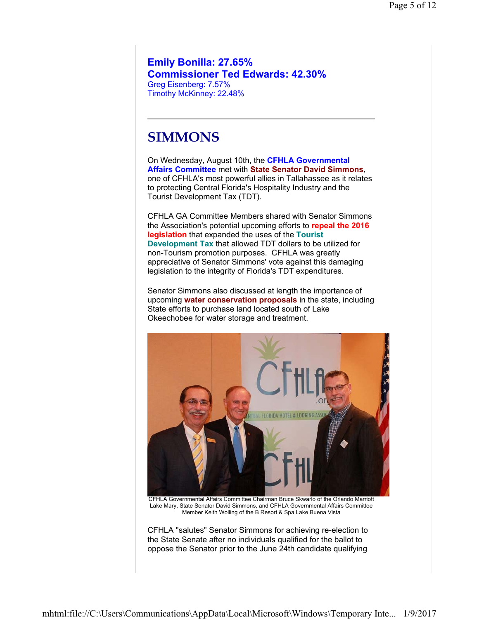**Emily Bonilla: 27.65% Commissioner Ted Edwards: 42.30%** Greg Eisenberg: 7.57% Timothy McKinney: 22.48%

## **SIMMONS**

On Wednesday, August 10th, the **CFHLA Governmental Affairs Committee** met with **State Senator David Simmons**, one of CFHLA's most powerful allies in Tallahassee as it relates to protecting Central Florida's Hospitality Industry and the Tourist Development Tax (TDT).

CFHLA GA Committee Members shared with Senator Simmons the Association's potential upcoming efforts to **repeal the 2016 legislation** that expanded the uses of the **Tourist Development Tax** that allowed TDT dollars to be utilized for non-Tourism promotion purposes. CFHLA was greatly appreciative of Senator Simmons' vote against this damaging legislation to the integrity of Florida's TDT expenditures.

Senator Simmons also discussed at length the importance of upcoming **water conservation proposals** in the state, including State efforts to purchase land located south of Lake Okeechobee for water storage and treatment.



CFHLA "salutes" Senator Simmons for achieving re-election to the State Senate after no individuals qualified for the ballot to oppose the Senator prior to the June 24th candidate qualifying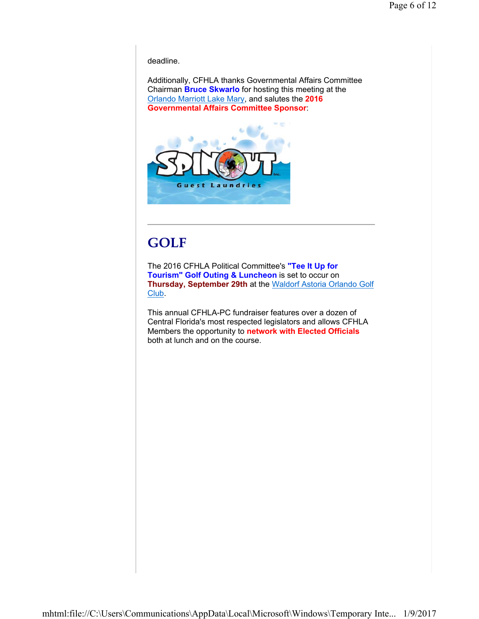deadline.

Additionally, CFHLA thanks Governmental Affairs Committee Chairman **Bruce Skwarlo** for hosting this meeting at the Orlando Marriott Lake Mary, and salutes the **2016 Governmental Affairs Committee Sponsor**:



# **GOLF**

The 2016 CFHLA Political Committee's **"Tee It Up for Tourism" Golf Outing & Luncheon** is set to occur on **Thursday, September 29th** at the Waldorf Astoria Orlando Golf Club.

This annual CFHLA-PC fundraiser features over a dozen of Central Florida's most respected legislators and allows CFHLA Members the opportunity to **network with Elected Officials** both at lunch and on the course.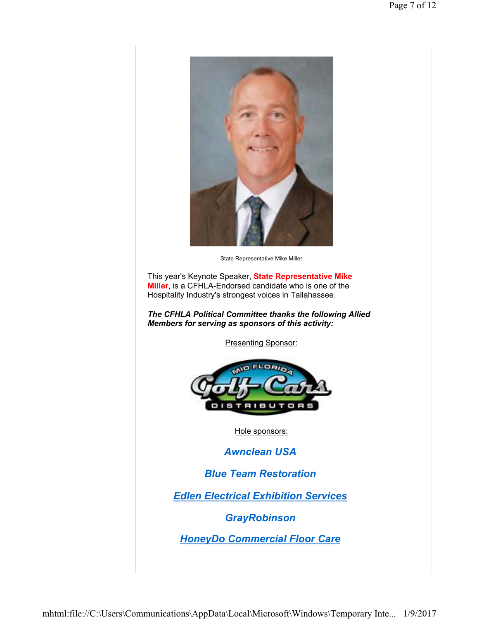

State Representative Mike Miller

This year's Keynote Speaker, **State Representative Mike Miller**, is a CFHLA-Endorsed candidate who is one of the Hospitality Industry's strongest voices in Tallahassee.

*The CFHLA Political Committee thanks the following Allied Members for serving as sponsors of this activity:*

Presenting Sponsor:



Hole sponsors:

*Awnclean USA*

*Blue Team Restoration*

*Edlen Electrical Exhibition Services*

*GrayRobinson*

*HoneyDo Commercial Floor Care*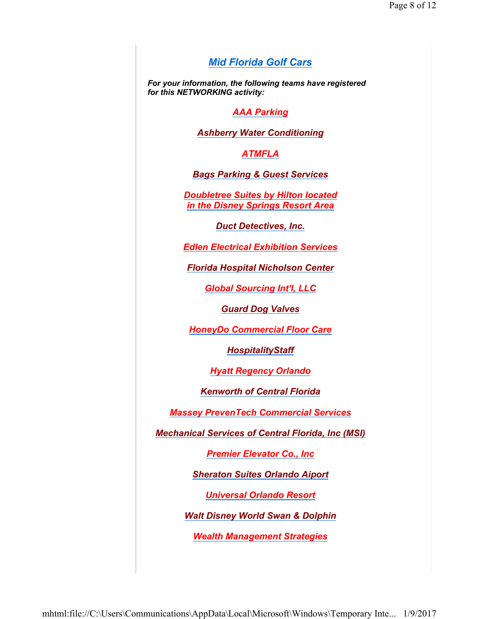### *Mid Florida Golf Cars*

*For your information, the following teams have registered for this NETWORKING activity:*

#### *AAA Parking*

*Ashberry Water Conditioning*

*ATMFLA*

*Bags Parking & Guest Services*

*Doubletree Suites by Hilton located in the Disney Springs Resort Area*

*Duct Detectives, Inc.*

*Edlen Electrical Exhibition Services*

*Florida Hospital Nicholson Center*

*Global Sourcing Int'l, LLC*

*Guard Dog Valves*

*HoneyDo Commercial Floor Care*

*HospitalityStaff*

*Hyatt Regency Orlando*

*Kenworth of Central Florida*

*Massey PrevenTech Commercial Services*

*Mechanical Services of Central Florida, Inc (MSI)*

*Premier Elevator Co., Inc*

*Sheraton Suites Orlando Aiport*

*Universal Orlando Resort*

*Walt Disney World Swan & Dolphin*

*Wealth Management Strategies*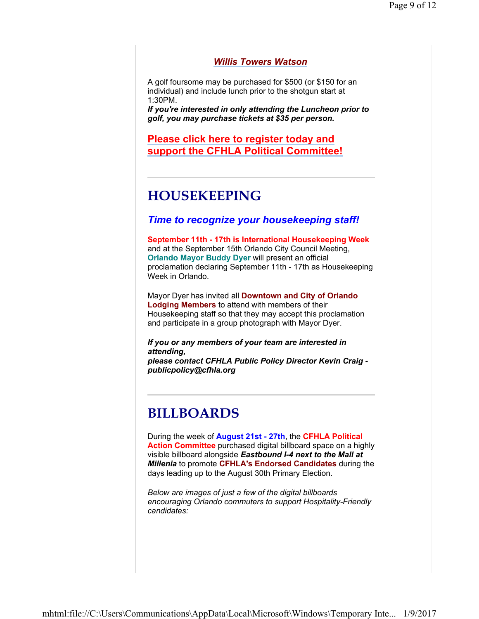#### *Willis Towers Watson*

A golf foursome may be purchased for \$500 (or \$150 for an individual) and include lunch prior to the shotgun start at 1:30PM.

*If you're interested in only attending the Luncheon prior to golf, you may purchase tickets at \$35 per person.*

**Please click here to register today and support the CFHLA Political Committee!**

## **HOUSEKEEPING**

#### *Time to recognize your housekeeping staff!*

**September 11th - 17th is International Housekeeping Week** and at the September 15th Orlando City Council Meeting, **Orlando Mayor Buddy Dyer** will present an official proclamation declaring September 11th - 17th as Housekeeping Week in Orlando.

Mayor Dyer has invited all **Downtown and City of Orlando Lodging Members** to attend with members of their Housekeeping staff so that they may accept this proclamation and participate in a group photograph with Mayor Dyer.

*If you or any members of your team are interested in attending, please contact CFHLA Public Policy Director Kevin Craig publicpolicy@cfhla.org*

## **BILLBOARDS**

During the week of **August 21st - 27th**, the **CFHLA Political Action Committee** purchased digital billboard space on a highly visible billboard alongside *Eastbound I-4 next to the Mall at Millenia* to promote **CFHLA's Endorsed Candidates** during the days leading up to the August 30th Primary Election.

*Below are images of just a few of the digital billboards encouraging Orlando commuters to support Hospitality-Friendly candidates:*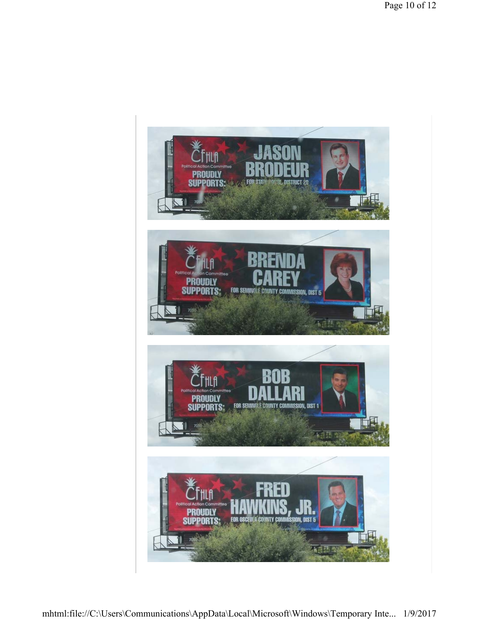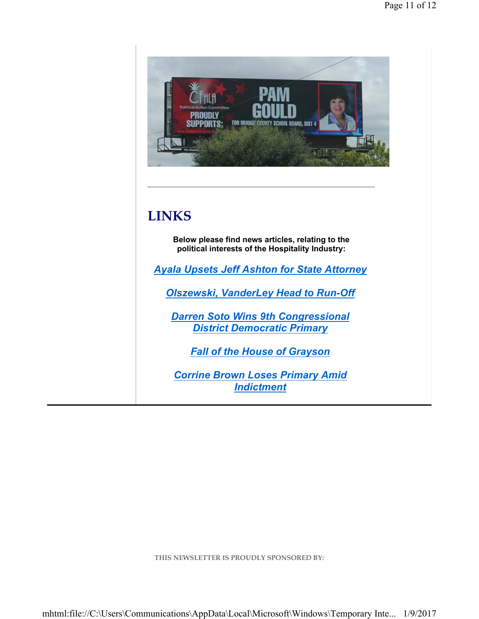

**THIS NEWSLETTER IS PROUDLY SPONSORED BY:**